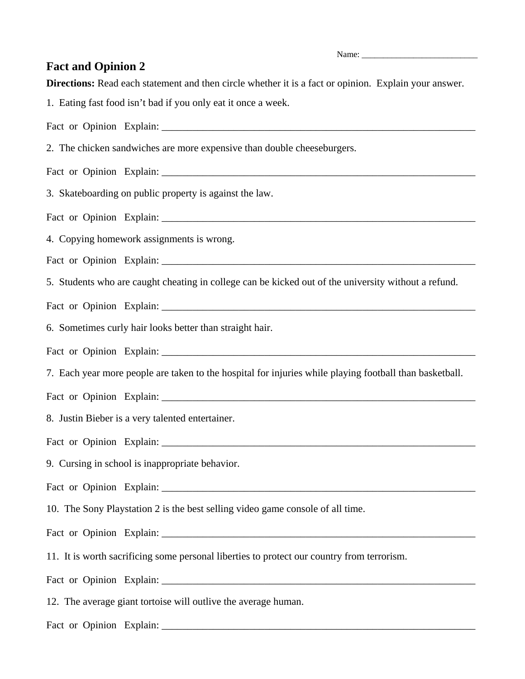**Fact and Opinion 2** 

**Directions:** Read each statement and then circle whether it is a fact or opinion. Explain your answer.

1. Eating fast food isn't bad if you only eat it once a week.

Fact or Opinion Explain: \_\_\_\_\_\_\_\_\_\_\_\_\_\_\_\_\_\_\_\_\_\_\_\_\_\_\_\_\_\_\_\_\_\_\_\_\_\_\_\_\_\_\_\_\_\_\_\_\_\_\_\_\_\_\_\_\_\_\_\_\_

2. The chicken sandwiches are more expensive than double cheeseburgers.

Fact or Opinion Explain:

3. Skateboarding on public property is against the law.

Fact or Opinion Explain:

4. Copying homework assignments is wrong.

Fact or Opinion Explain:

5. Students who are caught cheating in college can be kicked out of the university without a refund.

Fact or Opinion Explain: \_\_\_\_\_\_\_\_\_\_\_\_\_\_\_\_\_\_\_\_\_\_\_\_\_\_\_\_\_\_\_\_\_\_\_\_\_\_\_\_\_\_\_\_\_\_\_\_\_\_\_\_\_\_\_\_\_\_\_\_\_

6. Sometimes curly hair looks better than straight hair.

Fact or Opinion Explain: \_\_\_\_\_\_\_\_\_\_\_\_\_\_\_\_\_\_\_\_\_\_\_\_\_\_\_\_\_\_\_\_\_\_\_\_\_\_\_\_\_\_\_\_\_\_\_\_\_\_\_\_\_\_\_\_\_\_\_\_\_

7. Each year more people are taken to the hospital for injuries while playing football than basketball.

Fact or Opinion Explain: \_\_\_\_\_\_\_\_\_\_\_\_\_\_\_\_\_\_\_\_\_\_\_\_\_\_\_\_\_\_\_\_\_\_\_\_\_\_\_\_\_\_\_\_\_\_\_\_\_\_\_\_\_\_\_\_\_\_\_\_\_

8. Justin Bieber is a very talented entertainer.

Fact or Opinion Explain: \_\_\_\_\_\_\_\_\_\_\_\_\_\_\_\_\_\_\_\_\_\_\_\_\_\_\_\_\_\_\_\_\_\_\_\_\_\_\_\_\_\_\_\_\_\_\_\_\_\_\_\_\_\_\_\_\_\_\_\_\_

9. Cursing in school is inappropriate behavior.

Fact or Opinion Explain:

10. The Sony Playstation 2 is the best selling video game console of all time.

Fact or Opinion Explain: \_\_\_\_\_\_\_\_\_\_\_\_\_\_\_\_\_\_\_\_\_\_\_\_\_\_\_\_\_\_\_\_\_\_\_\_\_\_\_\_\_\_\_\_\_\_\_\_\_\_\_\_\_\_\_\_\_\_\_\_\_

11. It is worth sacrificing some personal liberties to protect our country from terrorism.

Fact or Opinion Explain: \_\_\_\_\_\_\_\_\_\_\_\_\_\_\_\_\_\_\_\_\_\_\_\_\_\_\_\_\_\_\_\_\_\_\_\_\_\_\_\_\_\_\_\_\_\_\_\_\_\_\_\_\_\_\_\_\_\_\_\_\_

12. The average giant tortoise will outlive the average human.

Fact or Opinion Explain: \_\_\_\_\_\_\_\_\_\_\_\_\_\_\_\_\_\_\_\_\_\_\_\_\_\_\_\_\_\_\_\_\_\_\_\_\_\_\_\_\_\_\_\_\_\_\_\_\_\_\_\_\_\_\_\_\_\_\_\_\_